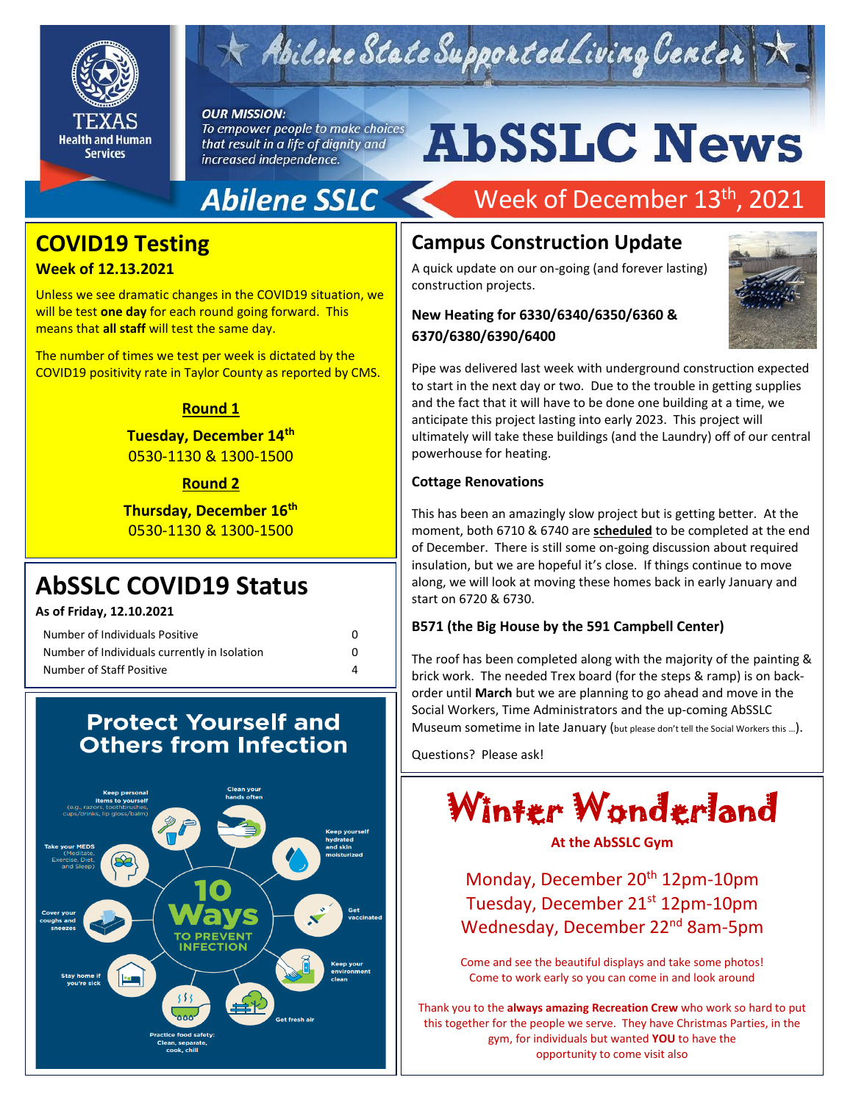

# Abilene State Supported Living Center

#### **OUR MISSION:**

To empower people to make choices that result in a life of dignity and increased independence.

# **AbSSLC News**

### **Abilene SSLC**

### **COVID19 Testing**

#### **Week of 12.13.2021**

x

Unless we see dramatic changes in the COVID19 situation, we will be test **one day** for each round going forward. This means that **all staff** will test the same day.

The number of times we test per week is dictated by the COVID19 positivity rate in Taylor County as reported by CMS.

#### **Round 1**

#### **Tuesday, December 14th** 0530-1130 & 1300-1500

**Round 2**

**Thursday, December 16th** 0530-1130 & 1300-1500

### **AbSSLC COVID19 Status**

**As of Friday, 12.10.2021**

| Number of Individuals Positive               | 0 |
|----------------------------------------------|---|
| Number of Individuals currently in Isolation | n |
| Number of Staff Positive                     |   |

#### **Protect Yourself and Others from Infection**



### Week of December 13<sup>th</sup>, 2021

#### **Campus Construction Update**

A quick update on our on-going (and forever lasting) construction projects.

#### **New Heating for 6330/6340/6350/6360 & 6370/6380/6390/6400**



Pipe was delivered last week with underground construction expected to start in the next day or two. Due to the trouble in getting supplies and the fact that it will have to be done one building at a time, we anticipate this project lasting into early 2023. This project will ultimately will take these buildings (and the Laundry) off of our central powerhouse for heating.

#### **Cottage Renovations**

of December. There is still some on-going discussion about required<br>inculation, but we are hangful it's close. If things continue to mayo This has been an amazingly slow project but is getting better. At the moment, both 6710 & 6740 are **scheduled** to be completed at the end insulation, but we are hopeful it's close. If things continue to move along, we will look at moving these homes back in early January and start on 6720 & 6730.

#### **B571 (the Big House by the 591 Campbell Center)**

The roof has been completed along with the majority of the painting & brick work. The needed Trex board (for the steps & ramp) is on backorder until **March** but we are planning to go ahead and move in the Social Workers, Time Administrators and the up-coming AbSSLC Museum sometime in late January (but please don't tell the Social Workers this …).

Questions? Please ask!

## Winter Wonderland

#### **At the AbSSLC Gym**

Monday, December 20<sup>th</sup> 12pm-10pm Tuesday, December 21<sup>st</sup> 12pm-10pm Wednesday, December 22<sup>nd</sup> 8am-5pm

Come and see the beautiful displays and take some photos! Come to work early so you can come in and look around

Thank you to the **always amazing Recreation Crew** who work so hard to put this together for the people we serve. They have Christmas Parties, in the gym, for individuals but wanted **YOU** to have the opportunity to come visit also